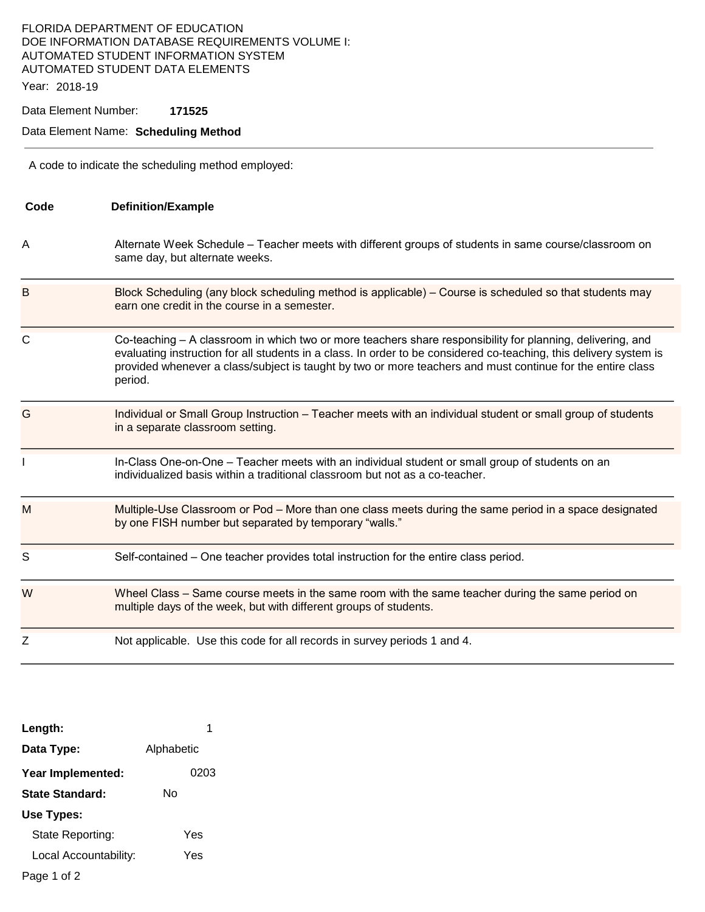## FLORIDA DEPARTMENT OF EDUCATION DOE INFORMATION DATABASE REQUIREMENTS VOLUME I: AUTOMATED STUDENT INFORMATION SYSTEM AUTOMATED STUDENT DATA ELEMENTS

Year: 2018-19

Data Element Number: **171525** 

## Data Element Name: **Scheduling Method**

A code to indicate the scheduling method employed:

| Code        | <b>Definition/Example</b>                                                                                                                                                                                                                                                                                                                                 |
|-------------|-----------------------------------------------------------------------------------------------------------------------------------------------------------------------------------------------------------------------------------------------------------------------------------------------------------------------------------------------------------|
| A           | Alternate Week Schedule - Teacher meets with different groups of students in same course/classroom on<br>same day, but alternate weeks.                                                                                                                                                                                                                   |
| B           | Block Scheduling (any block scheduling method is applicable) – Course is scheduled so that students may<br>earn one credit in the course in a semester.                                                                                                                                                                                                   |
| $\mathsf C$ | Co-teaching - A classroom in which two or more teachers share responsibility for planning, delivering, and<br>evaluating instruction for all students in a class. In order to be considered co-teaching, this delivery system is<br>provided whenever a class/subject is taught by two or more teachers and must continue for the entire class<br>period. |
| G           | Individual or Small Group Instruction - Teacher meets with an individual student or small group of students<br>in a separate classroom setting.                                                                                                                                                                                                           |
| L           | In-Class One-on-One - Teacher meets with an individual student or small group of students on an<br>individualized basis within a traditional classroom but not as a co-teacher.                                                                                                                                                                           |
| M           | Multiple-Use Classroom or Pod – More than one class meets during the same period in a space designated<br>by one FISH number but separated by temporary "walls."                                                                                                                                                                                          |
| S           | Self-contained - One teacher provides total instruction for the entire class period.                                                                                                                                                                                                                                                                      |
| W           | Wheel Class – Same course meets in the same room with the same teacher during the same period on<br>multiple days of the week, but with different groups of students.                                                                                                                                                                                     |
| Ζ           | Not applicable. Use this code for all records in survey periods 1 and 4.                                                                                                                                                                                                                                                                                  |

| Length:               | 1          |
|-----------------------|------------|
| Data Type:            | Alphabetic |
| Year Implemented:     | 0203       |
| State Standard:       | N٥         |
| Use Types:            |            |
| State Reporting:      | Yes        |
| Local Accountability: | Yes        |
| Page 1 of 2           |            |